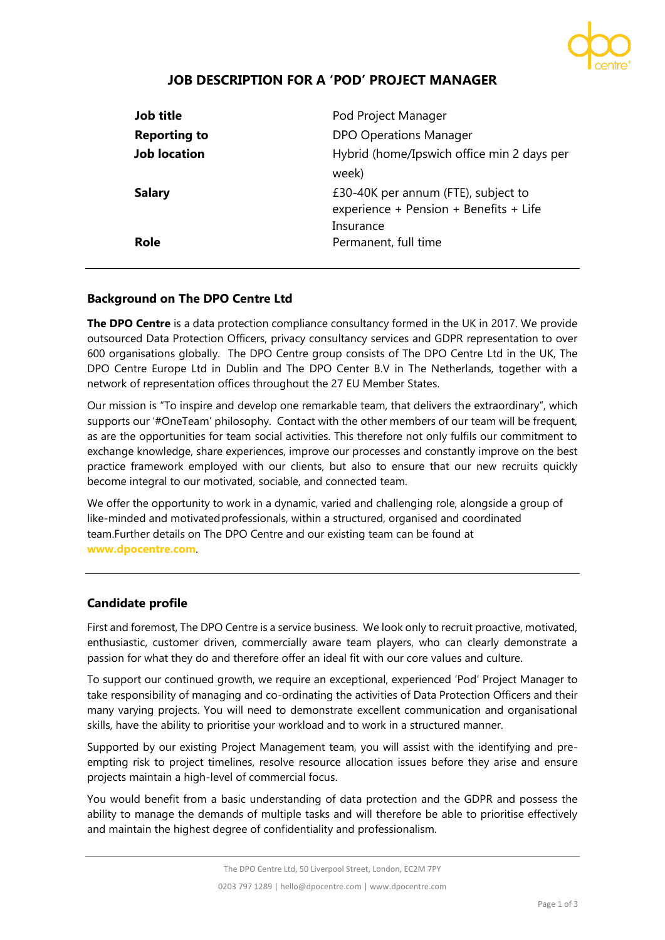

# **JOB DESCRIPTION FOR A 'POD' PROJECT MANAGER**

| Job title           | Pod Project Manager                                                                    |
|---------------------|----------------------------------------------------------------------------------------|
| <b>Reporting to</b> | <b>DPO Operations Manager</b>                                                          |
| <b>Job location</b> | Hybrid (home/Ipswich office min 2 days per                                             |
| <b>Salary</b>       | week)<br>£30-40K per annum (FTE), subject to<br>experience + Pension + Benefits + Life |
| Role                | Insurance<br>Permanent, full time                                                      |

## **Background on The DPO Centre Ltd**

**The DPO Centre** is a data protection compliance consultancy formed in the UK in 2017. We provide outsourced Data Protection Officers, privacy consultancy services and GDPR representation to over 600 organisations globally. The DPO Centre group consists of The DPO Centre Ltd in the UK, The DPO Centre Europe Ltd in Dublin and The DPO Center B.V in The Netherlands, together with a network of representation offices throughout the 27 EU Member States.

Our mission is "To inspire and develop one remarkable team, that delivers the extraordinary", which supports our '#OneTeam' philosophy. Contact with the other members of our team will be frequent, as are the opportunities for team social activities. This therefore not only fulfils our commitment to exchange knowledge, share experiences, improve our processes and constantly improve on the best practice framework employed with our clients, but also to ensure that our new recruits quickly become integral to our motivated, sociable, and connected team.

We offer the opportunity to work in a dynamic, varied and challenging role, alongside a group of like-minded and motivated professionals, within a structured, organised and coordinated team.Further details on The DPO Centre and our existing team can be found at **[www.dpocentre.com](http://www.dpocentre.com/)**.

## **Candidate profile**

First and foremost, The DPO Centre is a service business. We look only to recruit proactive, motivated, enthusiastic, customer driven, commercially aware team players, who can clearly demonstrate a passion for what they do and therefore offer an ideal fit with our core values and culture.

To support our continued growth, we require an exceptional, experienced 'Pod' Project Manager to take responsibility of managing and co-ordinating the activities of Data Protection Officers and their many varying projects. You will need to demonstrate excellent communication and organisational skills, have the ability to prioritise your workload and to work in a structured manner.

Supported by our existing Project Management team, you will assist with the identifying and preempting risk to project timelines, resolve resource allocation issues before they arise and ensure projects maintain a high-level of commercial focus.

You would benefit from a basic understanding of data protection and the GDPR and possess the ability to manage the demands of multiple tasks and will therefore be able to prioritise effectively and maintain the highest degree of confidentiality and professionalism.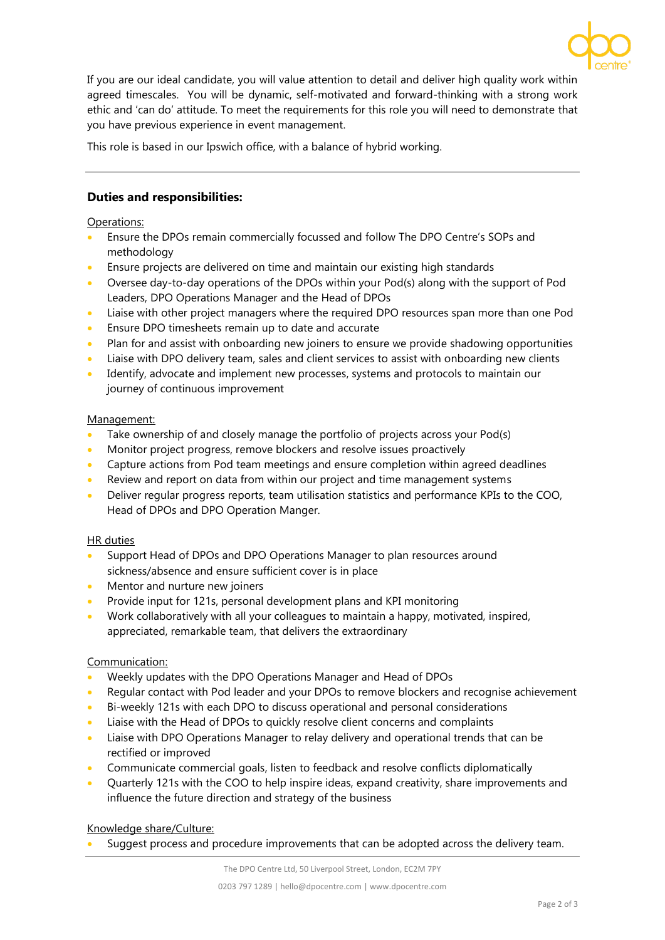

If you are our ideal candidate, you will value attention to detail and deliver high quality work within agreed timescales. You will be dynamic, self-motivated and forward-thinking with a strong work ethic and 'can do' attitude. To meet the requirements for this role you will need to demonstrate that you have previous experience in event management.

This role is based in our Ipswich office, with a balance of hybrid working.

# **Duties and responsibilities:**

## Operations:

- Ensure the DPOs remain commercially focussed and follow The DPO Centre's SOPs and methodology
- Ensure projects are delivered on time and maintain our existing high standards
- Oversee day-to-day operations of the DPOs within your Pod(s) along with the support of Pod Leaders, DPO Operations Manager and the Head of DPOs
- Liaise with other project managers where the required DPO resources span more than one Pod
- Ensure DPO timesheets remain up to date and accurate
- Plan for and assist with onboarding new joiners to ensure we provide shadowing opportunities
- Liaise with DPO delivery team, sales and client services to assist with onboarding new clients
- Identify, advocate and implement new processes, systems and protocols to maintain our journey of continuous improvement

## Management:

- Take ownership of and closely manage the portfolio of projects across your Pod(s)
- Monitor project progress, remove blockers and resolve issues proactively
- Capture actions from Pod team meetings and ensure completion within agreed deadlines
- Review and report on data from within our project and time management systems
- Deliver regular progress reports, team utilisation statistics and performance KPIs to the COO, Head of DPOs and DPO Operation Manger.

## HR duties

- Support Head of DPOs and DPO Operations Manager to plan resources around sickness/absence and ensure sufficient cover is in place
- Mentor and nurture new joiners
- Provide input for 121s, personal development plans and KPI monitoring
- Work collaboratively with all your colleagues to maintain a happy, motivated, inspired, appreciated, remarkable team, that delivers the extraordinary

## Communication:

- Weekly updates with the DPO Operations Manager and Head of DPOs
- Regular contact with Pod leader and your DPOs to remove blockers and recognise achievement
- Bi-weekly 121s with each DPO to discuss operational and personal considerations
- Liaise with the Head of DPOs to quickly resolve client concerns and complaints
- Liaise with DPO Operations Manager to relay delivery and operational trends that can be rectified or improved
- Communicate commercial goals, listen to feedback and resolve conflicts diplomatically
- Quarterly 121s with the COO to help inspire ideas, expand creativity, share improvements and influence the future direction and strategy of the business

## Knowledge share/Culture:

Suggest process and procedure improvements that can be adopted across the delivery team.